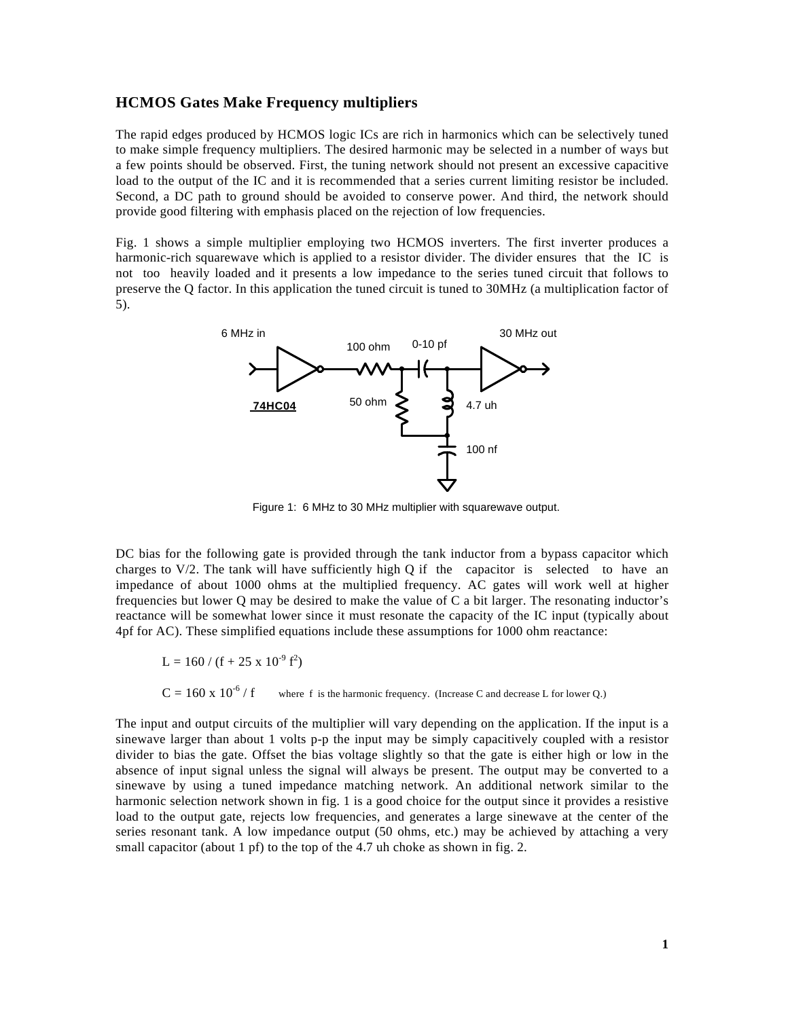## **HCMOS Gates Make Frequency multipliers**

The rapid edges produced by HCMOS logic ICs are rich in harmonics which can be selectively tuned to make simple frequency multipliers. The desired harmonic may be selected in a number of ways but a few points should be observed. First, the tuning network should not present an excessive capacitive load to the output of the IC and it is recommended that a series current limiting resistor be included. Second, a DC path to ground should be avoided to conserve power. And third, the network should provide good filtering with emphasis placed on the rejection of low frequencies.

Fig. 1 shows a simple multiplier employing two HCMOS inverters. The first inverter produces a harmonic-rich squarewave which is applied to a resistor divider. The divider ensures that the IC is not too heavily loaded and it presents a low impedance to the series tuned circuit that follows to preserve the Q factor. In this application the tuned circuit is tuned to 30MHz (a multiplication factor of 5).



Figure 1: 6 MHz to 30 MHz multiplier with squarewave output.

DC bias for the following gate is provided through the tank inductor from a bypass capacitor which charges to  $V/2$ . The tank will have sufficiently high Q if the capacitor is selected to have an impedance of about 1000 ohms at the multiplied frequency. AC gates will work well at higher frequencies but lower Q may be desired to make the value of C a bit larger. The resonating inductor's reactance will be somewhat lower since it must resonate the capacity of the IC input (typically about 4pf for AC). These simplified equations include these assumptions for 1000 ohm reactance:

$$
L = 160 / (f + 25 \times 10^{-9} f^2)
$$

 $C = 160 \times 10^{-6}$  / f where f is the harmonic frequency. (Increase C and decrease L for lower Q.)

The input and output circuits of the multiplier will vary depending on the application. If the input is a sinewave larger than about 1 volts p-p the input may be simply capacitively coupled with a resistor divider to bias the gate. Offset the bias voltage slightly so that the gate is either high or low in the absence of input signal unless the signal will always be present. The output may be converted to a sinewave by using a tuned impedance matching network. An additional network similar to the harmonic selection network shown in fig. 1 is a good choice for the output since it provides a resistive load to the output gate, rejects low frequencies, and generates a large sinewave at the center of the series resonant tank. A low impedance output (50 ohms, etc.) may be achieved by attaching a very small capacitor (about 1 pf) to the top of the 4.7 uh choke as shown in fig. 2.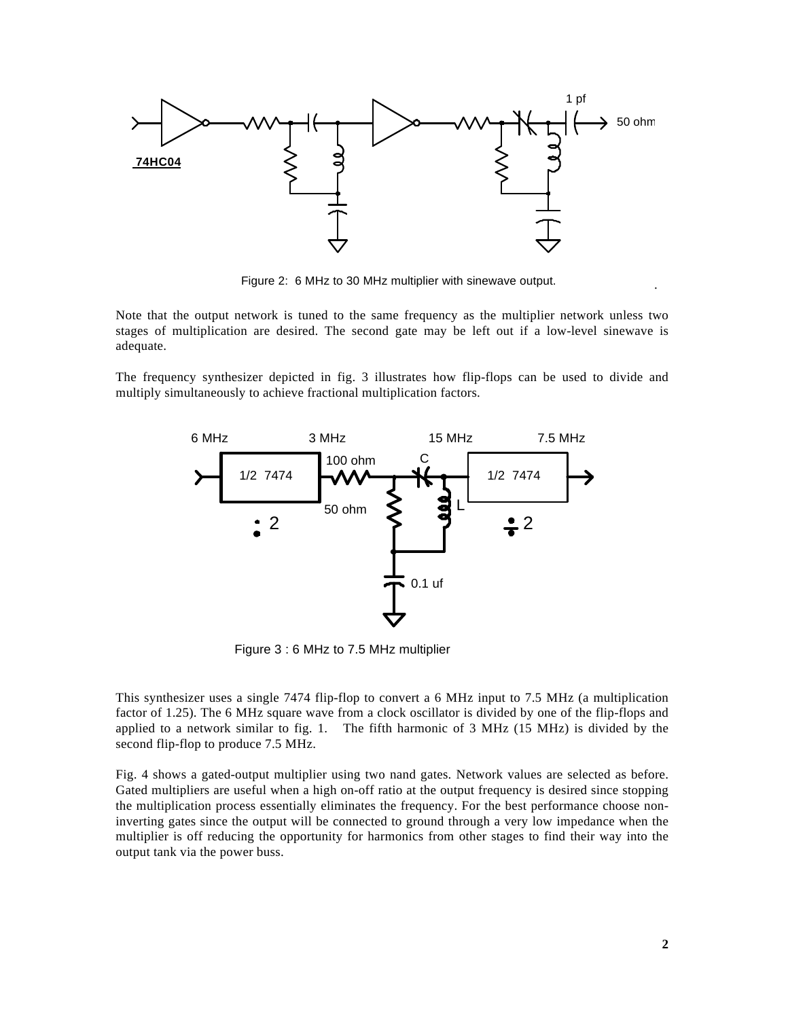

Figure 2: 6 MHz to 30 MHz multiplier with sinewave output.

Note that the output network is tuned to the same frequency as the multiplier network unless two stages of multiplication are desired. The second gate may be left out if a low-level sinewave is adequate.

The frequency synthesizer depicted in fig. 3 illustrates how flip-flops can be used to divide and multiply simultaneously to achieve fractional multiplication factors.



Figure 3 : 6 MHz to 7.5 MHz multiplier

This synthesizer uses a single 7474 flip-flop to convert a 6 MHz input to 7.5 MHz (a multiplication factor of 1.25). The 6 MHz square wave from a clock oscillator is divided by one of the flip-flops and applied to a network similar to fig. 1. The fifth harmonic of 3 MHz (15 MHz) is divided by the second flip-flop to produce 7.5 MHz.

Fig. 4 shows a gated-output multiplier using two nand gates. Network values are selected as before. Gated multipliers are useful when a high on-off ratio at the output frequency is desired since stopping the multiplication process essentially eliminates the frequency. For the best performance choose noninverting gates since the output will be connected to ground through a very low impedance when the multiplier is off reducing the opportunity for harmonics from other stages to find their way into the output tank via the power buss.

.